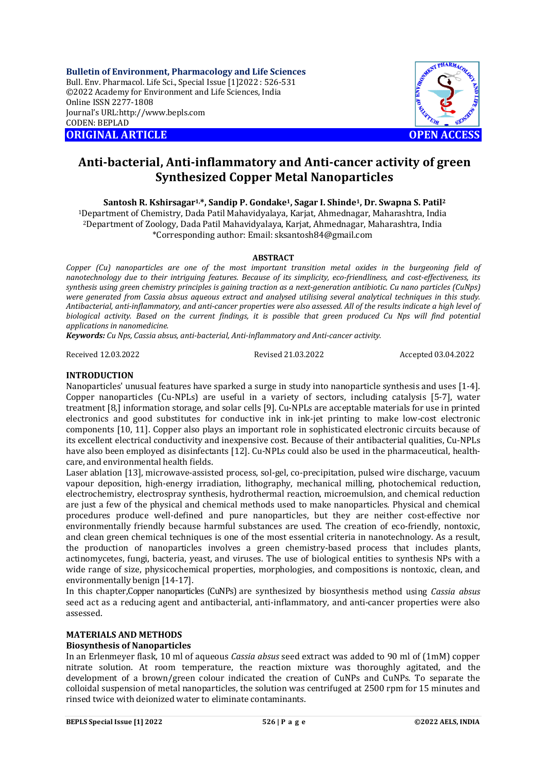**Bulletin of Environment, Pharmacology and Life Sciences** Bull. Env. Pharmacol. Life Sci., Special Issue [1]2022 : 526-531 ©2022 Academy for Environment and Life Sciences, India Online ISSN 2277-1808 Journal's URL:<http://www.bepls.com> CODEN: BEPLAD **ORIGINAL ARTICLE OPEN ACCESS** 



# **Anti-bacterial, Anti-inflammatory and Anti-cancer activity of green Synthesized Copper Metal Nanoparticles**

**Santosh R. Kshirsagar1,\*, Sandip P. Gondake1, Sagar I. Shinde1, Dr. Swapna S. Patil<sup>2</sup>**

<sup>1</sup>Department of Chemistry, Dada Patil Mahavidyalaya, Karjat, Ahmednagar, Maharashtra, India <sup>2</sup>Department of Zoology, Dada Patil Mahavidyalaya, Karjat, Ahmednagar, Maharashtra, India \*Corresponding author: Email: [sksantosh84@gmail.com](mailto:sksantosh84@gmail.com)

### **ABSTRACT**

*Copper (Cu) nanoparticles are one of the most important transition metal oxides in the burgeoning field of nanotechnology due to their intriguing features. Because of its simplicity, eco-friendliness, and cost-effectiveness, its synthesis using green chemistry principles is gaining traction as a next-generation antibiotic. Cu nano particles (CuNps) were generated from Cassia absus aqueous extract and analysed utilising several analytical techniques in this study. Antibacterial, anti-inflammatory, and anti-cancer properties were also assessed. All of the results indicate a high level of biological activity. Based on the current findings, it is possible that green produced Cu Nps will find potential applications in nanomedicine.*

*Keywords: Cu Nps, Cassia absus, anti-bacterial, Anti-inflammatory and Anti-cancer activity.*

Received 12.03.2022 Revised 21.03.2022 Accepted 03.04.2022

# **INTRODUCTION**

Nanoparticles' unusual features have sparked a surge in study into nanoparticle synthesis and uses [1-4]. Copper nanoparticles (Cu-NPLs) are useful in a variety of sectors, including catalysis [5-7], water treatment [8,] information storage, and solar cells [9]. Cu-NPLs are acceptable materials for use in printed electronics and good substitutes for conductive ink in ink-jet printing to make low-cost electronic components [10, 11]. Copper also plays an important role in sophisticated electronic circuits because of its excellent electrical conductivity and inexpensive cost. Because of their antibacterial qualities, Cu-NPLs have also been employed as disinfectants [12]. Cu-NPLs could also be used in the pharmaceutical, healthcare, and environmental health fields.

Laser ablation [13], microwave-assisted process, sol-gel, co-precipitation, pulsed wire discharge, vacuum vapour deposition, high-energy irradiation, lithography, mechanical milling, photochemical reduction, electrochemistry, electrospray synthesis, hydrothermal reaction, microemulsion, and chemical reduction are just a few of the physical and chemical methods used to make nanoparticles. Physical and chemical procedures produce well-defined and pure nanoparticles, but they are neither cost-effective nor environmentally friendly because harmful substances are used. The creation of eco-friendly, nontoxic, and clean green chemical techniques is one of the most essential criteria in nanotechnology. As a result, the production of nanoparticles involves a green chemistry-based process that includes plants, actinomycetes, fungi, bacteria, yeast, and viruses. The use of biological entities to synthesis NPs with a wide range of size, physicochemical properties, morphologies, and compositions is nontoxic, clean, and environmentally benign [14-17].

In this chapter,Copper nanoparticles (CuNPs) are synthesized by biosynthesis method using *Cassia absus* seed act as a reducing agent and antibacterial, anti-inflammatory, and anti-cancer properties were also assessed.

### **MATERIALS AND METHODS**

### **Biosynthesis of Nanoparticles**

In an Erlenmeyer flask, 10 ml of aqueous *Cassia absus* seed extract was added to 90 ml of (1mM) copper nitrate solution. At room temperature, the reaction mixture was thoroughly agitated, and the development of a brown/green colour indicated the creation of CuNPs and CuNPs. To separate the colloidal suspension of metal nanoparticles, the solution was centrifuged at 2500 rpm for 15 minutes and rinsed twice with deionized water to eliminate contaminants.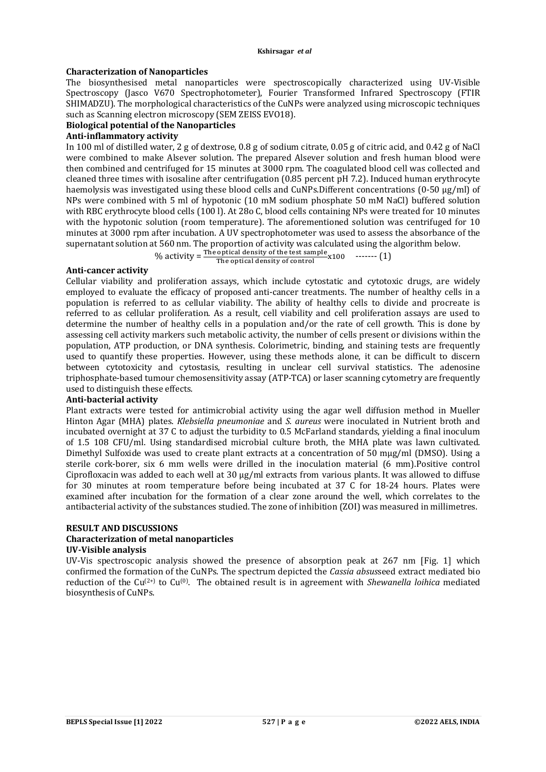### **Characterization of Nanoparticles**

The biosynthesised metal nanoparticles were spectroscopically characterized using UV-Visible Spectroscopy (Jasco V670 Spectrophotometer), Fourier Transformed Infrared Spectroscopy (FTIR SHIMADZU). The morphological characteristics of the CuNPs were analyzed using microscopic techniques such as Scanning electron microscopy (SEM ZEISS EVO18).

## **Biological potential of the Nanoparticles**

### **Anti-inflammatory activity**

In 100 ml of distilled water, 2 g of dextrose, 0.8 g of sodium citrate, 0.05 g of citric acid, and 0.42 g of NaCl were combined to make Alsever solution. The prepared Alsever solution and fresh human blood were then combined and centrifuged for 15 minutes at 3000 rpm. The coagulated blood cell was collected and cleaned three times with isosaline after centrifugation (0.85 percent pH 7.2). Induced human erythrocyte haemolysis was investigated using these blood cells and CuNPs.Different concentrations (0-50 μg/ml) of NPs were combined with 5 ml of hypotonic (10 mM sodium phosphate 50 mM NaCl) buffered solution with RBC erythrocyte blood cells (100 l). At 28o C, blood cells containing NPs were treated for 10 minutes with the hypotonic solution (room temperature). The aforementioned solution was centrifuged for 10 minutes at 3000 rpm after incubation. A UV spectrophotometer was used to assess the absorbance of the supernatant solution at 560 nm. The proportion of activity was calculated using the algorithm below.

% activity =  $\frac{\text{The optical density of the test sample}}{\text{The optical density of control}} \times 100$  ------- (1)

### **Anti-cancer activity**

Cellular viability and proliferation assays, which include cytostatic and cytotoxic drugs, are widely employed to evaluate the efficacy of proposed anti-cancer treatments. The number of healthy cells in a population is referred to as cellular viability. The ability of healthy cells to divide and procreate is referred to as cellular proliferation. As a result, cell viability and cell proliferation assays are used to determine the number of healthy cells in a population and/or the rate of cell growth. This is done by assessing cell activity markers such metabolic activity, the number of cells present or divisions within the population, ATP production, or DNA synthesis. Colorimetric, binding, and staining tests are frequently used to quantify these properties. However, using these methods alone, it can be difficult to discern between cytotoxicity and cytostasis, resulting in unclear cell survival statistics. The adenosine triphosphate-based tumour chemosensitivity assay (ATP-TCA) or laser scanning cytometry are frequently used to distinguish these effects.

### **Anti-bacterial activity**

Plant extracts were tested for antimicrobial activity using the agar well diffusion method in Mueller Hinton Agar (MHA) plates. *Klebsiella pneumoniae* and *S. aureus* were inoculated in Nutrient broth and incubated overnight at 37 C to adjust the turbidity to 0.5 McFarland standards, yielding a final inoculum of 1.5 108 CFU/ml. Using standardised microbial culture broth, the MHA plate was lawn cultivated. Dimethyl Sulfoxide was used to create plant extracts at a concentration of 50 mμg/ml (DMSO). Using a sterile cork-borer, six 6 mm wells were drilled in the inoculation material (6 mm).Positive control Ciprofloxacin was added to each well at 30 μg/ml extracts from various plants. It was allowed to diffuse for 30 minutes at room temperature before being incubated at 37 C for 18-24 hours. Plates were examined after incubation for the formation of a clear zone around the well, which correlates to the antibacterial activity of the substances studied. The zone of inhibition (ZOI) was measured in millimetres.

# **RESULT AND DISCUSSIONS**

### **Characterization of metal nanoparticles UV-Visible analysis**

UV-Vis spectroscopic analysis showed the presence of absorption peak at 267 nm [Fig. 1] which confirmed the formation of the CuNPs. The spectrum depicted the *Cassia absus*seed extract mediated bio reduction of the Cu(2+) to Cu(0). The obtained result is in agreement with *Shewanella loihica* mediated biosynthesis of CuNPs.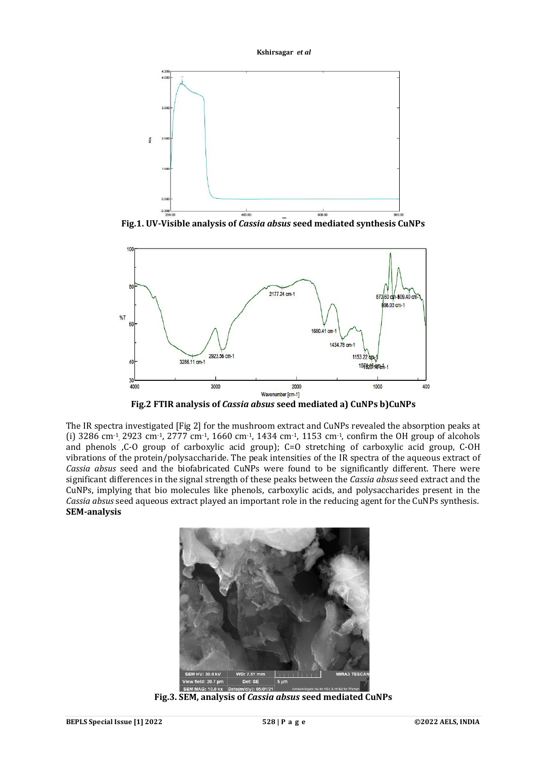



**Fig.1. UV-Visible analysis of** *Cassia absus* **seed mediated synthesis CuNPs**



**Fig.2 FTIR analysis of** *Cassia absus* **seed mediated a) CuNPs b)CuNPs**

The IR spectra investigated [Fig 2] for the mushroom extract and CuNPs revealed the absorption peaks at (i)  $3286 \text{ cm}^{-1}$ ,  $2923 \text{ cm}^{-1}$ ,  $2777 \text{ cm}^{-1}$ ,  $1660 \text{ cm}^{-1}$ ,  $1434 \text{ cm}^{-1}$ ,  $1153 \text{ cm}^{-1}$ , confirm the OH group of alcohols and phenols ,C-O group of carboxylic acid group); C=O stretching of carboxylic acid group, C-OH vibrations of the protein/polysaccharide. The peak intensities of the IR spectra of the aqueous extract of *Cassia absus* seed and the biofabricated CuNPs were found to be significantly different. There were significant differences in the signal strength of these peaks between the *Cassia absus* seed extract and the CuNPs, implying that bio molecules like phenols, carboxylic acids, and polysaccharides present in the *Cassia absus* seed aqueous extract played an important role in the reducing agent for the CuNPs synthesis. **SEM-analysis**



**Fig.3. SEM, analysis of** *Cassia absus* **seed mediated CuNPs**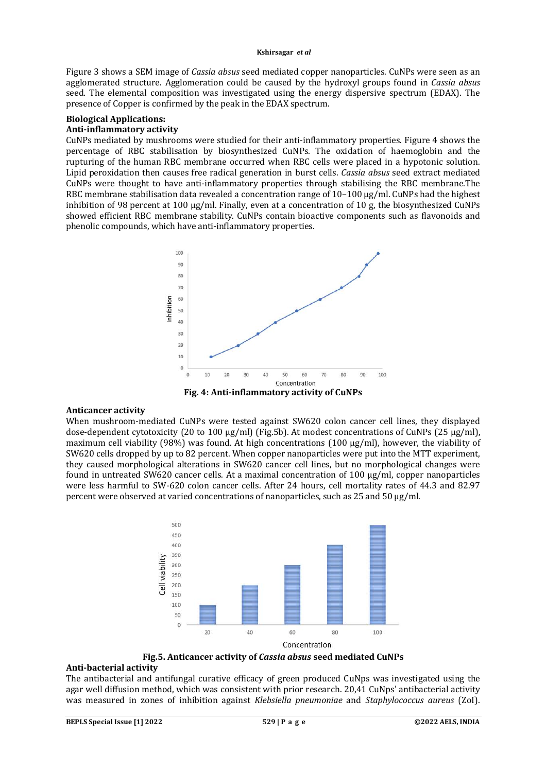Figure 3 shows a SEM image of *Cassia absus* seed mediated copper nanoparticles. CuNPs were seen as an agglomerated structure. Agglomeration could be caused by the hydroxyl groups found in *Cassia absus* seed. The elemental composition was investigated using the energy dispersive spectrum (EDAX). The presence of Copper is confirmed by the peak in the EDAX spectrum.

### **Biological Applications:**

### **Anti-inflammatory activity**

CuNPs mediated by mushrooms were studied for their anti-inflammatory properties. Figure 4 shows the percentage of RBC stabilisation by biosynthesized CuNPs. The oxidation of haemoglobin and the rupturing of the human RBC membrane occurred when RBC cells were placed in a hypotonic solution. Lipid peroxidation then causes free radical generation in burst cells. *Cassia absus* seed extract mediated CuNPs were thought to have anti-inflammatory properties through stabilising the RBC membrane.The RBC membrane stabilisation data revealed a concentration range of 10–100 μg/ml. CuNPs had the highest inhibition of 98 percent at 100 μg/ml. Finally, even at a concentration of 10 g, the biosynthesized CuNPs showed efficient RBC membrane stability. CuNPs contain bioactive components such as flavonoids and phenolic compounds, which have anti-inflammatory properties.



**Fig. 4: Anti-inflammatory activity of CuNPs**

### **Anticancer activity**

When mushroom-mediated CuNPs were tested against SW620 colon cancer cell lines, they displayed dose-dependent cytotoxicity (20 to 100 μg/ml) (Fig.5b). At modest concentrations of CuNPs (25 μg/ml), maximum cell viability (98%) was found. At high concentrations (100  $\mu$ g/ml), however, the viability of SW620 cells dropped by up to 82 percent. When copper nanoparticles were put into the MTT experiment, they caused morphological alterations in SW620 cancer cell lines, but no morphological changes were found in untreated SW620 cancer cells. At a maximal concentration of 100 μg/ml, copper nanoparticles were less harmful to SW-620 colon cancer cells. After 24 hours, cell mortality rates of 44.3 and 82.97 percent were observed at varied concentrations of nanoparticles, such as 25 and 50 μg/ml.



**Fig.5. Anticancer activity of** *Cassia absus* **seed mediated CuNPs**

### **Anti-bacterial activity**

The antibacterial and antifungal curative efficacy of green produced CuNps was investigated using the agar well diffusion method, which was consistent with prior research. 20,41 CuNps' antibacterial activity was measured in zones of inhibition against *Klebsiella pneumoniae* and *Staphylococcus aureus* (ZoI).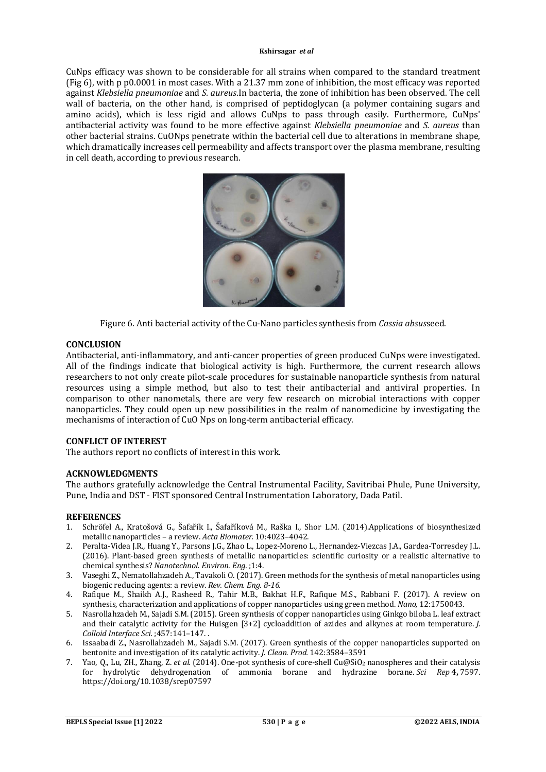CuNps efficacy was shown to be considerable for all strains when compared to the standard treatment (Fig 6), with p p0.0001 in most cases. With a 21.37 mm zone of inhibition, the most efficacy was reported against *Klebsiella pneumoniae* and *S. aureus*.In bacteria, the zone of inhibition has been observed. The cell wall of bacteria, on the other hand, is comprised of peptidoglycan (a polymer containing sugars and amino acids), which is less rigid and allows CuNps to pass through easily. Furthermore, CuNps' antibacterial activity was found to be more effective against *Klebsiella pneumoniae* and *S. aureus* than other bacterial strains. CuONps penetrate within the bacterial cell due to alterations in membrane shape, which dramatically increases cell permeability and affects transport over the plasma membrane, resulting in cell death, according to previous research.



Figure 6. Anti bacterial activity of the Cu-Nano particles synthesis from *Cassia absus*seed.

### **CONCLUSION**

Antibacterial, anti-inflammatory, and anti-cancer properties of green produced CuNps were investigated. All of the findings indicate that biological activity is high. Furthermore, the current research allows researchers to not only create pilot-scale procedures for sustainable nanoparticle synthesis from natural resources using a simple method, but also to test their antibacterial and antiviral properties. In comparison to other nanometals, there are very few research on microbial interactions with copper nanoparticles. They could open up new possibilities in the realm of nanomedicine by investigating the mechanisms of interaction of CuO Nps on long-term antibacterial efficacy.

## **CONFLICT OF INTEREST**

The authors report no conflicts of interest in this work.

### **ACKNOWLEDGMENTS**

The authors gratefully acknowledge the Central Instrumental Facility, Savitribai Phule, Pune University, Pune, India and DST - FIST sponsored Central Instrumentation Laboratory, Dada Patil.

### **REFERENCES**

- 1. Schröfel A., Kratošová G., Šafařík I., Šafaříková M., Raška I., Shor L.M. (2014).Applications of biosynthesized metallic nanoparticles – a review. *Acta Biomater.* 10:4023–4042.
- 2. Peralta-Videa J.R., Huang Y., Parsons J.G., Zhao L., Lopez-Moreno L., Hernandez-Viezcas J.A., Gardea-Torresdey J.L. (2016). Plant-based green synthesis of metallic nanoparticles: scientific curiosity or a realistic alternative to chemical synthesis? *Nanotechnol. Environ. Eng.* ;1:4.
- 3. Vaseghi Z., Nematollahzadeh A., Tavakoli O. (2017). Green methods for the synthesis of metal nanoparticles using biogenic reducing agents: a review. *Rev. Chem. Eng. 8-16.*
- 4. Rafique M., Shaikh A.J., Rasheed R., Tahir M.B., Bakhat H.F., Rafique M.S., Rabbani F. (2017). A review on synthesis, characterization and applications of copper nanoparticles using green method. *Nano,* 12:1750043.
- 5. Nasrollahzadeh M., Sajadi S.M. (2015). Green synthesis of copper nanoparticles using Ginkgo biloba L. leaf extract and their catalytic activity for the Huisgen [3+2] cycloaddition of azides and alkynes at room temperature. *J. Colloid Interface Sci.* ;457:141–147. .
- 6. Issaabadi Z., Nasrollahzadeh M., Sajadi S.M. (2017). Green synthesis of the copper nanoparticles supported on bentonite and investigation of its catalytic activity. *J. Clean. Prod.* 142:3584–3591
- 7. Yao, Q., Lu, ZH., Zhang, Z. *et al.* (2014). One-pot synthesis of core-shell Cu@SiO<sup>2</sup> nanospheres and their catalysis for hydrolytic dehydrogenation of ammonia borane and hydrazine borane. *Sci Rep* **4,** 7597. <https://doi.org/10.1038/srep07597>